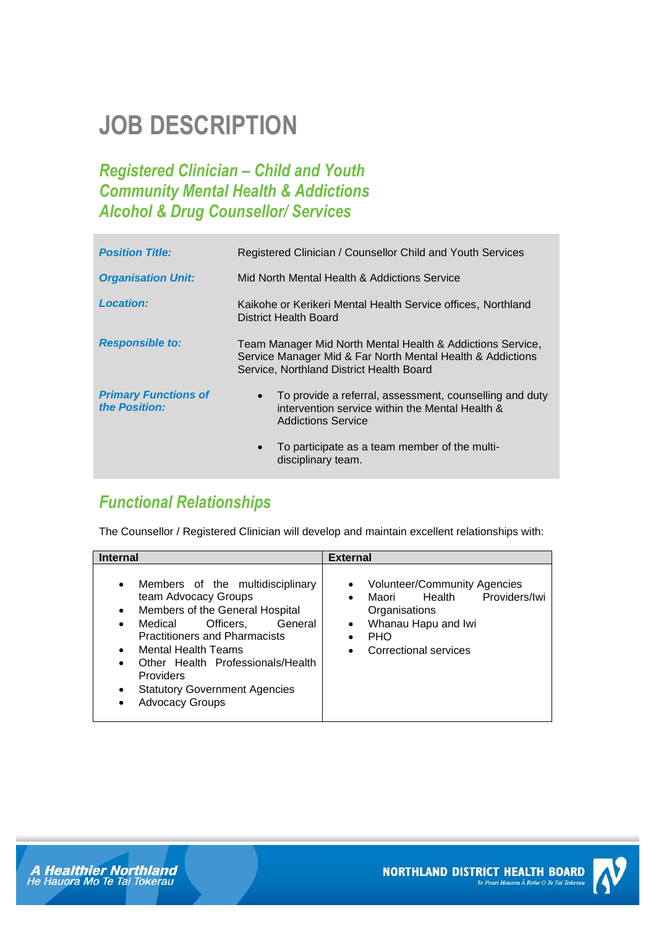# **JOB DESCRIPTION**

## *Registered Clinician – Child and Youth Community Mental Health & Addictions Alcohol & Drug Counsellor/ Services*

| <b>Position Title:</b>                       | Registered Clinician / Counsellor Child and Youth Services                                                                                                           |
|----------------------------------------------|----------------------------------------------------------------------------------------------------------------------------------------------------------------------|
| <b>Organisation Unit:</b>                    | Mid North Mental Health & Addictions Service                                                                                                                         |
| <b>Location:</b>                             | Kaikohe or Kerikeri Mental Health Service offices, Northland<br>District Health Board                                                                                |
| <b>Responsible to:</b>                       | Team Manager Mid North Mental Health & Addictions Service,<br>Service Manager Mid & Far North Mental Health & Addictions<br>Service, Northland District Health Board |
| <b>Primary Functions of</b><br>the Position: | To provide a referral, assessment, counselling and duty<br>intervention service within the Mental Health &<br>Addictions Service                                     |
|                                              | To participate as a team member of the multi-<br>$\bullet$<br>disciplinary team.                                                                                     |

## *Functional Relationships*

The Counsellor / Registered Clinician will develop and maintain excellent relationships with:

| <b>Internal</b>                                                                                                                                                                                                                                                                                                                                                                                                            | <b>External</b>                                                                                                                                                                                            |  |
|----------------------------------------------------------------------------------------------------------------------------------------------------------------------------------------------------------------------------------------------------------------------------------------------------------------------------------------------------------------------------------------------------------------------------|------------------------------------------------------------------------------------------------------------------------------------------------------------------------------------------------------------|--|
| Members of the multidisciplinary<br>$\bullet$<br>team Advocacy Groups<br>Members of the General Hospital<br>$\bullet$<br>Officers,<br>Medical<br>General<br>$\bullet$<br><b>Practitioners and Pharmacists</b><br><b>Mental Health Teams</b><br>$\bullet$<br>Other Health Professionals/Health<br>$\bullet$<br><b>Providers</b><br><b>Statutory Government Agencies</b><br>$\bullet$<br><b>Advocacy Groups</b><br>$\bullet$ | <b>Volunteer/Community Agencies</b><br>$\bullet$<br>Providers/Iwi<br>Health<br>Maori<br>$\bullet$<br>Organisations<br>Whanau Hapu and Iwi<br>$\bullet$<br><b>PHO</b><br>Correctional services<br>$\bullet$ |  |



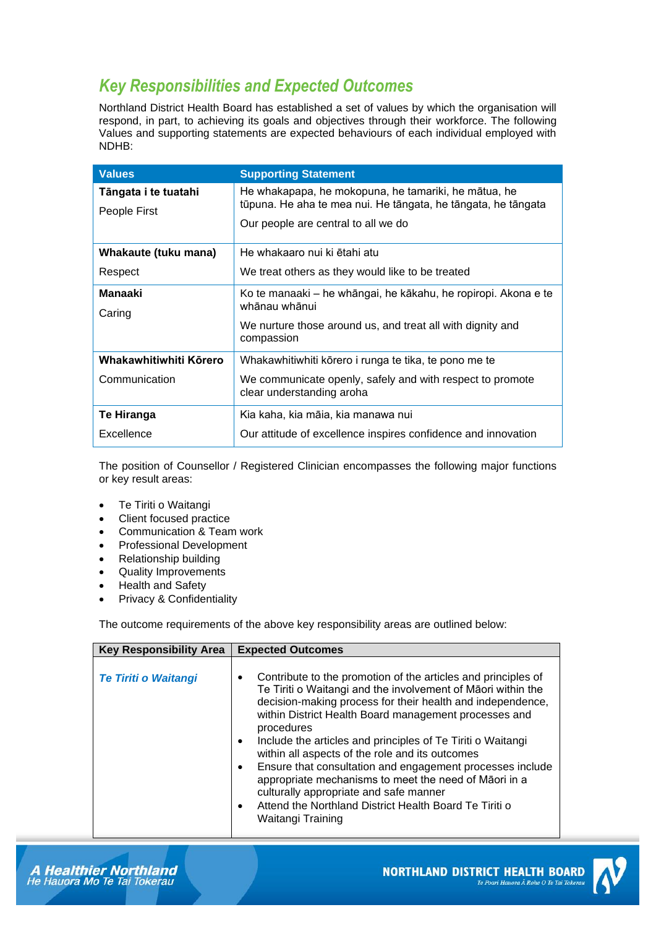## *Key Responsibilities and Expected Outcomes*

Northland District Health Board has established a set of values by which the organisation will respond, in part, to achieving its goals and objectives through their workforce. The following Values and supporting statements are expected behaviours of each individual employed with NDHB:

| <b>Values</b>          | <b>Supporting Statement</b>                                                            |
|------------------------|----------------------------------------------------------------------------------------|
| Tāngata i te tuatahi   | He whakapapa, he mokopuna, he tamariki, he mātua, he                                   |
| People First           | tūpuna. He aha te mea nui. He tāngata, he tāngata, he tāngata                          |
|                        | Our people are central to all we do                                                    |
| Whakaute (tuku mana)   | He whakaaro nui ki ētahi atu                                                           |
| Respect                | We treat others as they would like to be treated                                       |
| Manaaki                | Ko te manaaki – he whāngai, he kākahu, he ropiropi. Akona e te                         |
| Caring                 | whānau whānui                                                                          |
|                        | We nurture those around us, and treat all with dignity and<br>compassion               |
| Whakawhitiwhiti Körero | Whakawhitiwhiti kōrero i runga te tika, te pono me te                                  |
| Communication          | We communicate openly, safely and with respect to promote<br>clear understanding aroha |
| Te Hiranga             | Kia kaha, kia māia, kia manawa nui                                                     |
| Excellence             | Our attitude of excellence inspires confidence and innovation                          |

The position of Counsellor / Registered Clinician encompasses the following major functions or key result areas:

- Te Tiriti o Waitangi
- Client focused practice
- Communication & Team work
- Professional Development
- Relationship building
- Quality Improvements
- Health and Safety
- Privacy & Confidentiality

The outcome requirements of the above key responsibility areas are outlined below:

| <b>Key Responsibility Area</b> | <b>Expected Outcomes</b>                                                                                                                                                                                                                                                                                                                                                                                                                                                                                                                                                                                                                                                                |
|--------------------------------|-----------------------------------------------------------------------------------------------------------------------------------------------------------------------------------------------------------------------------------------------------------------------------------------------------------------------------------------------------------------------------------------------------------------------------------------------------------------------------------------------------------------------------------------------------------------------------------------------------------------------------------------------------------------------------------------|
| <b>Te Tiriti o Waitangi</b>    | Contribute to the promotion of the articles and principles of<br>$\bullet$<br>Te Tiriti o Waitangi and the involvement of Māori within the<br>decision-making process for their health and independence,<br>within District Health Board management processes and<br>procedures<br>Include the articles and principles of Te Tiriti o Waitangi<br>$\bullet$<br>within all aspects of the role and its outcomes<br>Ensure that consultation and engagement processes include<br>$\bullet$<br>appropriate mechanisms to meet the need of Māori in a<br>culturally appropriate and safe manner<br>Attend the Northland District Health Board Te Tiriti o<br>$\bullet$<br>Waitangi Training |

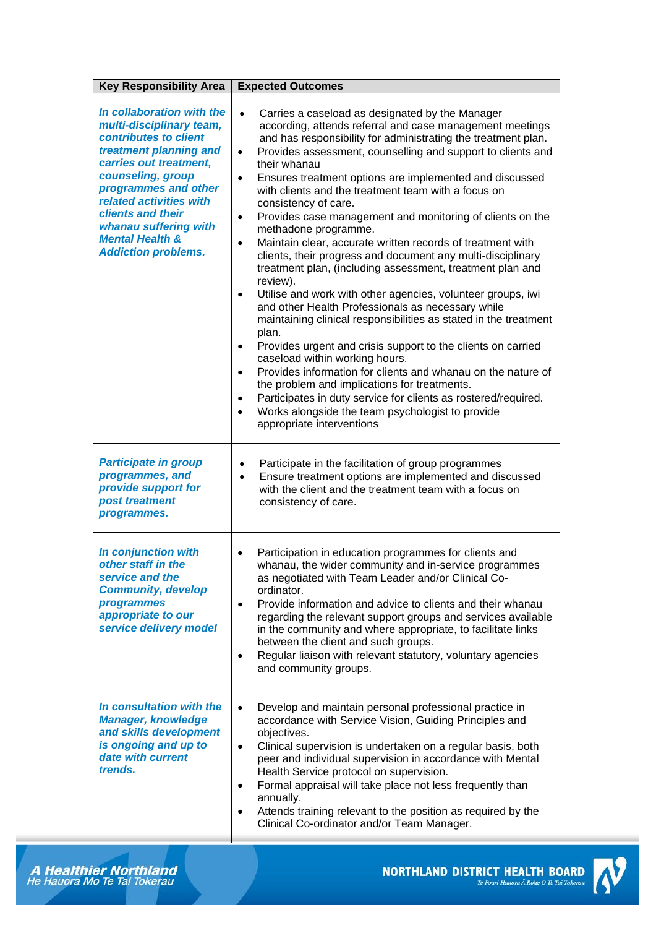| <b>Key Responsibility Area</b>                                                                                                                                                                                                                                                                                       | <b>Expected Outcomes</b>                                                                                                                                                                                                                                                                                                                                                                                                                                                                                                                                                                                                                                                                                                                                                                                                                                                                                                                                                                                                                                                                                                                                                                                                                                                                                                                                                                         |
|----------------------------------------------------------------------------------------------------------------------------------------------------------------------------------------------------------------------------------------------------------------------------------------------------------------------|--------------------------------------------------------------------------------------------------------------------------------------------------------------------------------------------------------------------------------------------------------------------------------------------------------------------------------------------------------------------------------------------------------------------------------------------------------------------------------------------------------------------------------------------------------------------------------------------------------------------------------------------------------------------------------------------------------------------------------------------------------------------------------------------------------------------------------------------------------------------------------------------------------------------------------------------------------------------------------------------------------------------------------------------------------------------------------------------------------------------------------------------------------------------------------------------------------------------------------------------------------------------------------------------------------------------------------------------------------------------------------------------------|
| In collaboration with the<br>multi-disciplinary team,<br>contributes to client<br>treatment planning and<br>carries out treatment,<br>counseling, group<br>programmes and other<br>related activities with<br>clients and their<br>whanau suffering with<br><b>Mental Health &amp;</b><br><b>Addiction problems.</b> | $\bullet$<br>Carries a caseload as designated by the Manager<br>according, attends referral and case management meetings<br>and has responsibility for administrating the treatment plan.<br>Provides assessment, counselling and support to clients and<br>$\bullet$<br>their whanau<br>Ensures treatment options are implemented and discussed<br>$\bullet$<br>with clients and the treatment team with a focus on<br>consistency of care.<br>Provides case management and monitoring of clients on the<br>$\bullet$<br>methadone programme.<br>Maintain clear, accurate written records of treatment with<br>$\bullet$<br>clients, their progress and document any multi-disciplinary<br>treatment plan, (including assessment, treatment plan and<br>review).<br>Utilise and work with other agencies, volunteer groups, iwi<br>$\bullet$<br>and other Health Professionals as necessary while<br>maintaining clinical responsibilities as stated in the treatment<br>plan.<br>Provides urgent and crisis support to the clients on carried<br>٠<br>caseload within working hours.<br>Provides information for clients and whanau on the nature of<br>$\bullet$<br>the problem and implications for treatments.<br>Participates in duty service for clients as rostered/required.<br>$\bullet$<br>Works alongside the team psychologist to provide<br>$\bullet$<br>appropriate interventions |
| <b>Participate in group</b><br>programmes, and<br>provide support for<br>post treatment<br>programmes.                                                                                                                                                                                                               | Participate in the facilitation of group programmes<br>$\bullet$<br>Ensure treatment options are implemented and discussed<br>$\bullet$<br>with the client and the treatment team with a focus on<br>consistency of care.                                                                                                                                                                                                                                                                                                                                                                                                                                                                                                                                                                                                                                                                                                                                                                                                                                                                                                                                                                                                                                                                                                                                                                        |
| In conjunction with<br>other staff in the<br>service and the<br><b>Community, develop</b><br>programmes<br>appropriate to our<br>service delivery model                                                                                                                                                              | Participation in education programmes for clients and<br>$\bullet$<br>whanau, the wider community and in-service programmes<br>as negotiated with Team Leader and/or Clinical Co-<br>ordinator.<br>Provide information and advice to clients and their whanau<br>regarding the relevant support groups and services available<br>in the community and where appropriate, to facilitate links<br>between the client and such groups.<br>Regular liaison with relevant statutory, voluntary agencies<br>$\bullet$<br>and community groups.                                                                                                                                                                                                                                                                                                                                                                                                                                                                                                                                                                                                                                                                                                                                                                                                                                                         |
| In consultation with the<br><b>Manager, knowledge</b><br>and skills development<br>is ongoing and up to<br>date with current<br>trends.                                                                                                                                                                              | Develop and maintain personal professional practice in<br>$\bullet$<br>accordance with Service Vision, Guiding Principles and<br>objectives.<br>Clinical supervision is undertaken on a regular basis, both<br>$\bullet$<br>peer and individual supervision in accordance with Mental<br>Health Service protocol on supervision.<br>Formal appraisal will take place not less frequently than<br>$\bullet$<br>annually.<br>Attends training relevant to the position as required by the<br>Clinical Co-ordinator and/or Team Manager.                                                                                                                                                                                                                                                                                                                                                                                                                                                                                                                                                                                                                                                                                                                                                                                                                                                            |

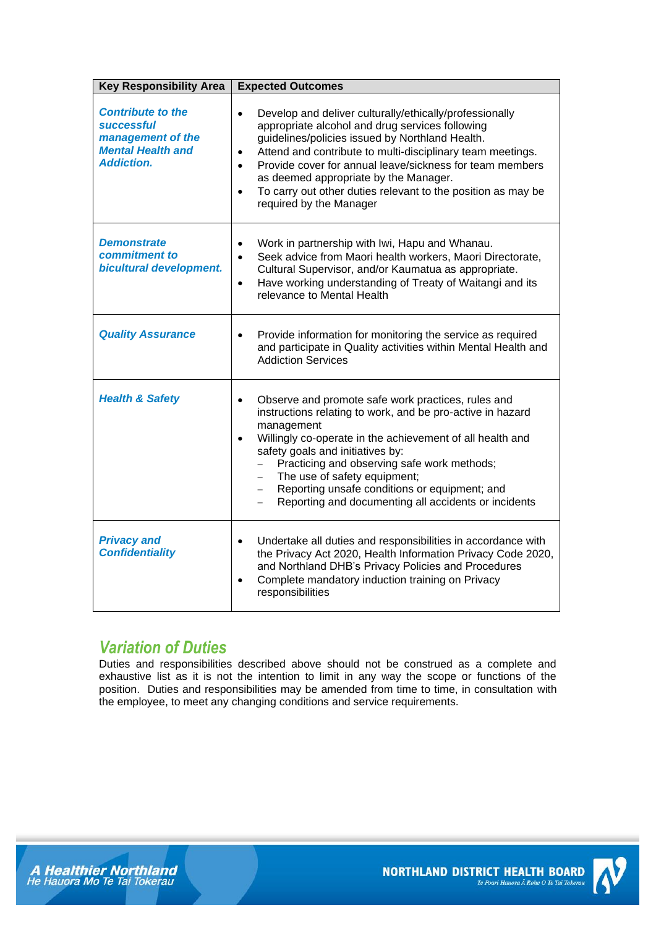| <b>Key Responsibility Area</b>                                                                               | <b>Expected Outcomes</b>                                                                                                                                                                                                                                                                                                                                                                                                                                                        |
|--------------------------------------------------------------------------------------------------------------|---------------------------------------------------------------------------------------------------------------------------------------------------------------------------------------------------------------------------------------------------------------------------------------------------------------------------------------------------------------------------------------------------------------------------------------------------------------------------------|
| <b>Contribute to the</b><br>successful<br>management of the<br><b>Mental Health and</b><br><b>Addiction.</b> | Develop and deliver culturally/ethically/professionally<br>$\bullet$<br>appropriate alcohol and drug services following<br>guidelines/policies issued by Northland Health.<br>Attend and contribute to multi-disciplinary team meetings.<br>$\bullet$<br>Provide cover for annual leave/sickness for team members<br>$\bullet$<br>as deemed appropriate by the Manager.<br>To carry out other duties relevant to the position as may be<br>$\bullet$<br>required by the Manager |
| <b>Demonstrate</b><br>commitment to<br>bicultural development.                                               | Work in partnership with Iwi, Hapu and Whanau.<br>$\bullet$<br>Seek advice from Maori health workers, Maori Directorate,<br>$\bullet$<br>Cultural Supervisor, and/or Kaumatua as appropriate.<br>Have working understanding of Treaty of Waitangi and its<br>$\bullet$<br>relevance to Mental Health                                                                                                                                                                            |
| <b>Quality Assurance</b>                                                                                     | Provide information for monitoring the service as required<br>and participate in Quality activities within Mental Health and<br><b>Addiction Services</b>                                                                                                                                                                                                                                                                                                                       |
| <b>Health &amp; Safety</b>                                                                                   | Observe and promote safe work practices, rules and<br>instructions relating to work, and be pro-active in hazard<br>management<br>Willingly co-operate in the achievement of all health and<br>$\bullet$<br>safety goals and initiatives by:<br>Practicing and observing safe work methods;<br>The use of safety equipment;<br>Reporting unsafe conditions or equipment; and<br>$-$<br>Reporting and documenting all accidents or incidents                                     |
| <b>Privacy and</b><br><b>Confidentiality</b>                                                                 | Undertake all duties and responsibilities in accordance with<br>$\bullet$<br>the Privacy Act 2020, Health Information Privacy Code 2020,<br>and Northland DHB's Privacy Policies and Procedures<br>Complete mandatory induction training on Privacy<br>$\bullet$<br>responsibilities                                                                                                                                                                                            |

## *Variation of Duties*

Duties and responsibilities described above should not be construed as a complete and exhaustive list as it is not the intention to limit in any way the scope or functions of the position. Duties and responsibilities may be amended from time to time, in consultation with the employee, to meet any changing conditions and service requirements.





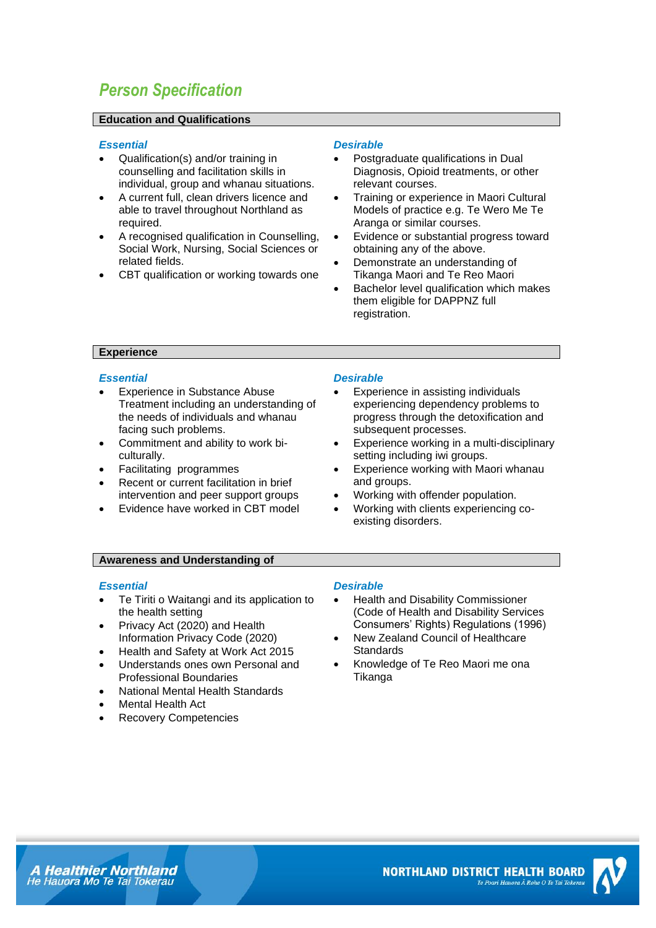## *Person Specification*

#### **Education and Qualifications**

#### *Essential Desirable*

- Qualification(s) and/or training in counselling and facilitation skills in individual, group and whanau situations.
- A current full, clean drivers licence and able to travel throughout Northland as required.
- A recognised qualification in Counselling, Social Work, Nursing, Social Sciences or related fields.
- CBT qualification or working towards one

- Postgraduate qualifications in Dual Diagnosis, Opioid treatments, or other relevant courses.
- Training or experience in Maori Cultural Models of practice e.g. Te Wero Me Te Aranga or similar courses.
- Evidence or substantial progress toward obtaining any of the above.
- Demonstrate an understanding of Tikanga Maori and Te Reo Maori
- Bachelor level qualification which makes them eligible for DAPPNZ full registration.

### **Experience**

#### *Essential Desirable*

- Experience in Substance Abuse Treatment including an understanding of the needs of individuals and whanau facing such problems.
- Commitment and ability to work biculturally.
- Facilitating programmes
- Recent or current facilitation in brief intervention and peer support groups
- Evidence have worked in CBT model

- Experience in assisting individuals experiencing dependency problems to progress through the detoxification and subsequent processes.
- Experience working in a multi-disciplinary setting including iwi groups.
- **Experience working with Maori whanau** and groups.
- Working with offender population.
- Working with clients experiencing coexisting disorders.

#### **Awareness and Understanding of**

- Te Tiriti o Waitangi and its application to the health setting
- Privacy Act (2020) and Health Information Privacy Code (2020)
- Health and Safety at Work Act 2015
- Understands ones own Personal and Professional Boundaries
- National Mental Health Standards
- Mental Health Act
- Recovery Competencies

#### *Essential Desirable*

- Health and Disability Commissioner (Code of Health and Disability Services Consumers' Rights) Regulations (1996)
- New Zealand Council of Healthcare **Standards**
- Knowledge of Te Reo Maori me ona Tikanga